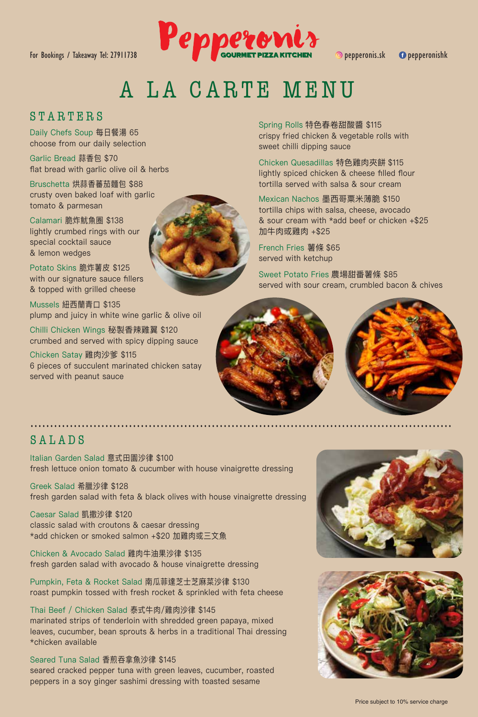

# A LA CARTE MENU

#### STARTERS

Daily Chefs Soup 每日餐湯 65 choose from our daily selection

Garlic Bread 蒜香包 \$70 flat bread with garlic olive oil & herbs

Bruschetta 烘蒜香蕃茄麵包 \$88 crusty oven baked loaf with garlic tomato & parmesan

Calamari 脆炸魷魚圈 \$138 lightly crumbed rings with our special cocktail sauce & lemon wedges

Potato Skins 脆炸薯皮 \$125 with our signature sauce fillers & topped with grilled cheese

Mussels 紐西蘭青口 \$135 plump and juicy in white wine garlic & olive oil

Chilli Chicken Wings 秘製香辣雞翼 \$120 crumbed and served with spicy dipping sauce

Chicken Satay 雞肉沙爹 \$115 6 pieces of succulent marinated chicken satay served with peanut sauce

Spring Rolls 特色春卷甜酸醬 \$115 crispy fried chicken & vegetable rolls with sweet chilli dipping sauce

Chicken Quesadillas 特色雞肉夾餅 \$115 lightly spiced chicken & cheese filled flour tortilla served with salsa & sour cream

Mexican Nachos 墨西哥粟米薄脆 \$150 tortilla chips with salsa, cheese, avocado & sour cream with \*add beef or chicken +\$25 加牛肉或雞肉 +\$25

French Fries 薯條 \$65 served with ketchup

Sweet Potato Fries 農場甜番薯條 \$85 served with sour cream, crumbled bacon & chives



## SALADS

Italian Garden Salad 意式田園沙律 \$100 fresh lettuce onion tomato & cucumber with house vinaigrette dressing

Greek Salad 希臘沙律 \$128 fresh garden salad with feta & black olives with house vinaigrette dressing

Caesar Salad 凱撒沙律 \$120 classic salad with croutons & caesar dressing \*add chicken or smoked salmon +\$20 加雞肉或三文魚

Chicken & Avocado Salad 雞肉牛油果沙律 \$135 fresh garden salad with avocado & house vinaigrette dressing

Pumpkin, Feta & Rocket Salad 南瓜菲達芝士芝麻菜沙律 \$130 roast pumpkin tossed with fresh rocket & sprinkled with feta cheese

Thai Beef / Chicken Salad 泰式牛肉/雞肉沙律 \$145 marinated strips of tenderloin with shredded green papaya, mixed leaves, cucumber, bean sprouts & herbs in a traditional Thai dressing \*chicken available

Seared Tuna Salad 香煎吞拿魚沙律 \$145 seared cracked pepper tuna with green leaves, cucumber, roasted peppers in a soy ginger sashimi dressing with toasted sesame



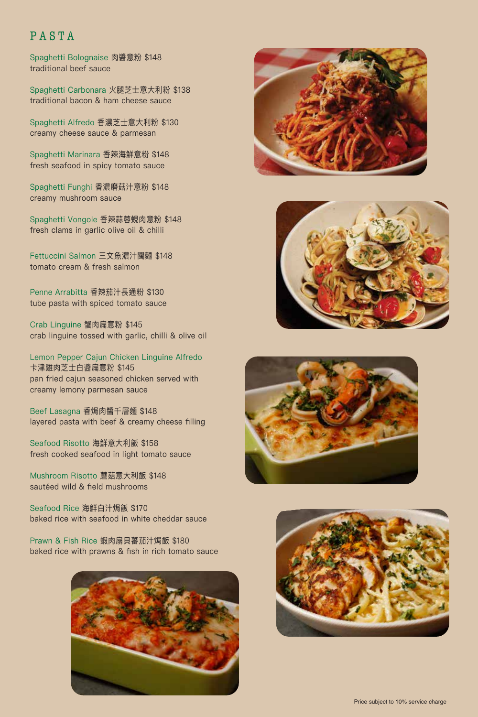## PASTA

Spaghetti Bolognaise 肉醬意粉 \$148 traditional beef sauce

Spaghetti Carbonara 火腿芝士意大利粉 \$138 traditional bacon & ham cheese sauce

Spaghetti Alfredo 香濃芝士意大利粉 \$130 creamy cheese sauce & parmesan

Spaghetti Marinara 香辣海鮮意粉 \$148 fresh seafood in spicy tomato sauce

Spaghetti Funghi 香濃磨菇汁意粉 \$148 creamy mushroom sauce

Spaghetti Vongole 香辣蒜蓉蜆肉意粉 \$148 fresh clams in garlic olive oil & chilli

Fettuccini Salmon 三文魚濃汁闊麵 \$148 tomato cream & fresh salmon

Penne Arrabitta 香辣茄汁長通粉 \$130 tube pasta with spiced tomato sauce

Crab Linguine 蟹肉扁意粉 \$145 crab linguine tossed with garlic, chilli & olive oil

Lemon Pepper Cajun Chicken Linguine Alfredo 卡津雞肉芝士白醬扁意粉 \$145 pan fried cajun seasoned chicken served with creamy lemony parmesan sauce

Beef Lasagna 香焗肉醬千層麵 \$148 layered pasta with beef & creamy cheese filling

Seafood Risotto 海鮮意大利飯 \$158 fresh cooked seafood in light tomato sauce

Mushroom Risotto 蘑菇意大利飯 \$148 sautéed wild & field mushrooms

Seafood Rice 海鮮白汁焗飯 \$170 baked rice with seafood in white cheddar sauce

Prawn & Fish Rice 蝦肉扇貝蕃茄汁焗飯 \$180 baked rice with prawns & fish in rich tomato sauce









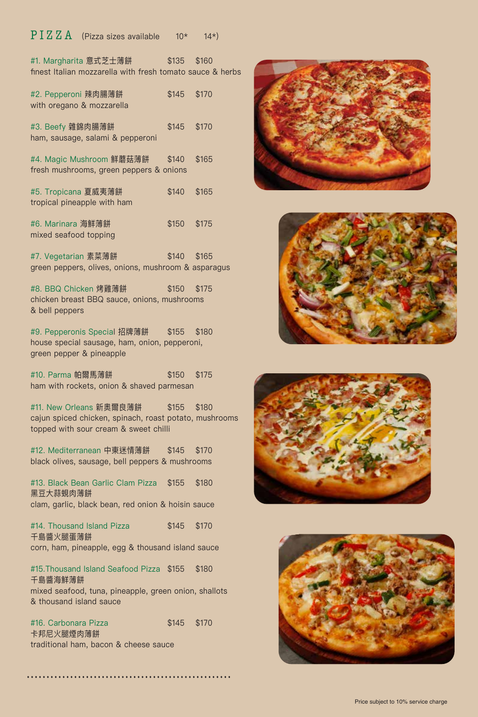#### $\overline{P} \, I \, Z \, Z \, A$  (Pizza sizes available 10\* 14\*)

| #1. Margharita 意式芝士薄餅 しんしん                                                 | \$135        | \$160 |  |
|----------------------------------------------------------------------------|--------------|-------|--|
| finest Italian mozzarella with fresh tomato sauce & herbs                  |              |       |  |
| #2. Pepperoni 辣肉腸薄餅<br>with oregano & mozzarella                           | $$145$ \$170 |       |  |
| #3. Beefy 雜錦肉腸薄餅<br>ham, sausage, salami & pepperoni                       | \$145        | \$170 |  |
| #4. Magic Mushroom 鮮蘑菇薄餅<br>fresh mushrooms, green peppers & onions        | \$140        | \$165 |  |
| #5. Tropicana 夏威夷薄餅<br>tropical pineapple with ham                         | \$140        | \$165 |  |
| #6. Marinara 海鮮薄餅<br>mixed seafood topping                                 | \$150        | \$175 |  |
| #7. Vegetarian 素菜薄餅<br>green peppers, olives, onions, mushroom & asparagus | \$140 \$165  |       |  |

#8. BBQ Chicken 烤雞薄餅 \$150 \$175 chicken breast BBQ sauce, onions, mushrooms & bell peppers

#9. Pepperonis Special 招牌薄餅 \$155 \$180 house special sausage, ham, onion, pepperoni, green pepper & pineapple

#10. Parma 帕爾馬薄餅  $$150$  \$175 ham with rockets, onion & shaved parmesan

#11. New Orleans 新奧爾良薄餅 \$155 \$180 cajun spiced chicken, spinach, roast potato, mushrooms topped with sour cream & sweet chilli

#12. Mediterranean 中東迷情薄餅 \$145 \$170 black olives, sausage, bell peppers & mushrooms

#13. Black Bean Garlic Clam Pizza \$155 \$180 黑豆大蒜蜆肉薄餅 clam, garlic, black bean, red onion & hoisin sauce

#14. Thousand Island Pizza  $$145$  \$170 千島醬火腿蛋薄餅 corn, ham, pineapple, egg & thousand island sauce

#15.Thousand Island Seafood Pizza \$155 \$180 千島醬海鮮薄餅 mixed seafood, tuna, pineapple, green onion, shallots & thousand island sauce

#16. Carbonara Pizza \$145 \$170 卡邦尼火腿煙肉薄餅 traditional ham, bacon & cheese sauce

....................................................